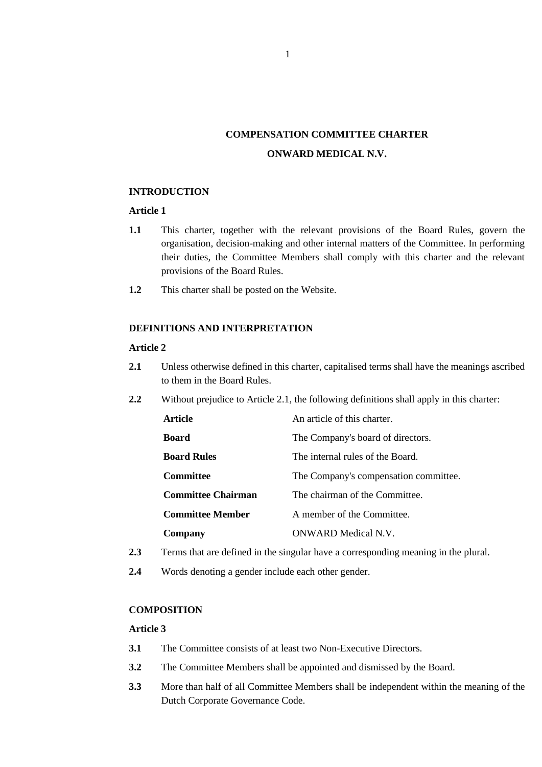# **COMPENSATION COMMITTEE CHARTER ONWARD MEDICAL N.V.**

### **INTRODUCTION**

## **Article 1**

- **1.1** This charter, together with the relevant provisions of the Board Rules, govern the organisation, decision-making and other internal matters of the Committee. In performing their duties, the Committee Members shall comply with this charter and the relevant provisions of the Board Rules.
- **1.2** This charter shall be posted on the Website.

# **DEFINITIONS AND INTERPRETATION**

#### **Article 2**

- **2.1** Unless otherwise defined in this charter, capitalised terms shall have the meanings ascribed to them in the Board Rules.
- **2.2** Without prejudice to Article 2.1, the following definitions shall apply in this charter:

| <b>Article</b>            | An article of this charter.           |
|---------------------------|---------------------------------------|
| <b>Board</b>              | The Company's board of directors.     |
| <b>Board Rules</b>        | The internal rules of the Board.      |
| Committee                 | The Company's compensation committee. |
| <b>Committee Chairman</b> | The chairman of the Committee.        |
| <b>Committee Member</b>   | A member of the Committee.            |
| Company                   | ONWARD Medical N.V.                   |

- **2.3** Terms that are defined in the singular have a corresponding meaning in the plural.
- **2.4** Words denoting a gender include each other gender.

#### **COMPOSITION**

#### **Article 3**

- **3.1** The Committee consists of at least two Non-Executive Directors.
- **3.2** The Committee Members shall be appointed and dismissed by the Board.
- **3.3** More than half of all Committee Members shall be independent within the meaning of the Dutch Corporate Governance Code.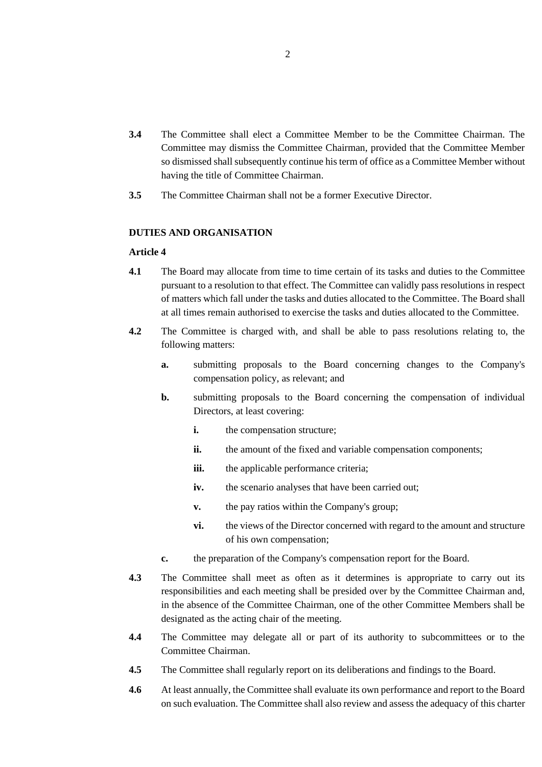- **3.4** The Committee shall elect a Committee Member to be the Committee Chairman. The Committee may dismiss the Committee Chairman, provided that the Committee Member so dismissed shall subsequently continue his term of office as a Committee Member without having the title of Committee Chairman.
- **3.5** The Committee Chairman shall not be a former Executive Director.

#### **DUTIES AND ORGANISATION**

## **Article 4**

- **4.1** The Board may allocate from time to time certain of its tasks and duties to the Committee pursuant to a resolution to that effect. The Committee can validly pass resolutions in respect of matters which fall under the tasks and duties allocated to the Committee. The Board shall at all times remain authorised to exercise the tasks and duties allocated to the Committee.
- **4.2** The Committee is charged with, and shall be able to pass resolutions relating to, the following matters:
	- **a.** submitting proposals to the Board concerning changes to the Company's compensation policy, as relevant; and
	- **b.** submitting proposals to the Board concerning the compensation of individual Directors, at least covering:
		- **i.** the compensation structure;
		- ii. the amount of the fixed and variable compensation components;
		- iii. the applicable performance criteria;
		- **iv.** the scenario analyses that have been carried out;
		- **v.** the pay ratios within the Company's group;
		- **vi.** the views of the Director concerned with regard to the amount and structure of his own compensation;
	- **c.** the preparation of the Company's compensation report for the Board.
- **4.3** The Committee shall meet as often as it determines is appropriate to carry out its responsibilities and each meeting shall be presided over by the Committee Chairman and, in the absence of the Committee Chairman, one of the other Committee Members shall be designated as the acting chair of the meeting.
- **4.4** The Committee may delegate all or part of its authority to subcommittees or to the Committee Chairman.
- **4.5** The Committee shall regularly report on its deliberations and findings to the Board.
- **4.6** At least annually, the Committee shall evaluate its own performance and report to the Board on such evaluation. The Committee shall also review and assess the adequacy of this charter